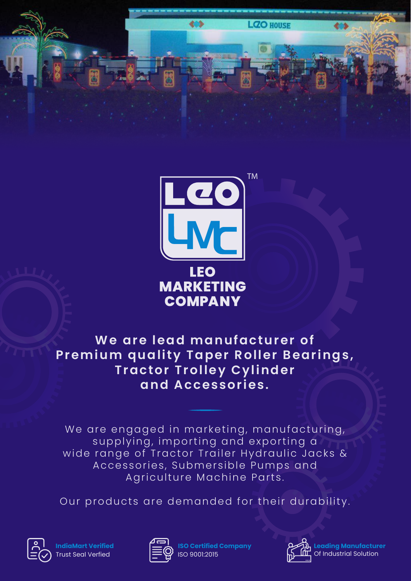

**LZO HOUSE** 

**We are lead manufacturer of Premium quality Taper Roller Bearings, Tractor Trolley Cylinder and Accessories.**

We are engaged in marketing, manufacturing, supplying, importing and exporting a wide range of Tractor Trailer Hydraulic Jacks & Accessories, Submersible Pumps and Agriculture Machine Parts.

Our products are demanded for their durability.



**IndiaMart Verified** Trust Seal Verfied



**ISO Certified Company** ISO 9001:2015



**Leading Manufacturer** Of Industrial Solution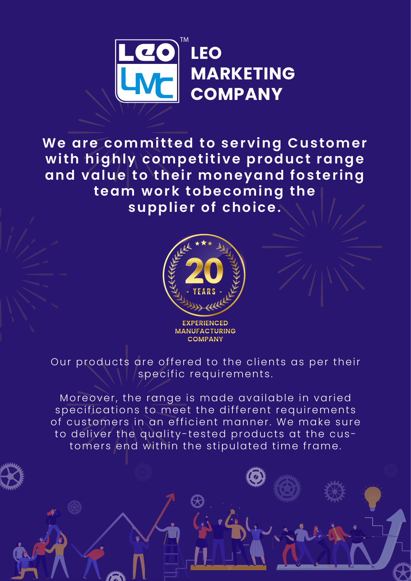

**We are committed to serving Customer with highly competitive product range and value to their moneyand fostering team work tobecoming the supplier of choice.**



Our products are offered to the clients as per their specific requirements.

Moreover, the range is made available in varied specifications to meet the different requirements of customers in an efficient manner. We make sure to deliver the quality-tested products at the customers end within the stipulated time frame.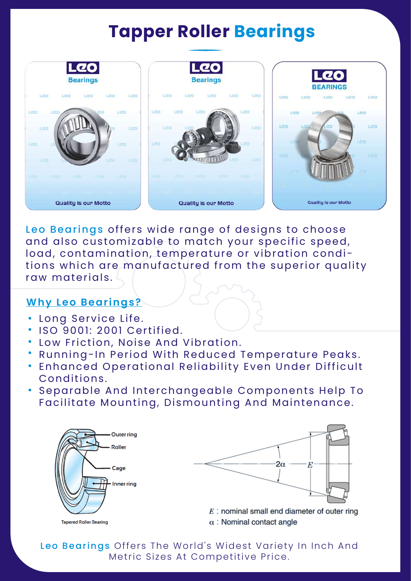## **Tapper Roller Bearings**



Leo Bearings offers wide range of designs to choose and also customizable to match your specific speed, load, contamination, temperature or vibration conditions which are manufactured from the superior quality raw materials.

#### **Why Leo Bearings?**

- Long Service Life.
- ISO 9001: 2001 Certified.
- Low Friction, Noise And Vibration.
- Running-In Period With Reduced Temperature Peaks.
- Enhanced Operational Reliability Even Under Difficult Conditions.
- Separable And Interchangeable Components Help To Facilitate Mounting, Dismounting And Maintenance.





 $E$ : nominal small end diameter of outer ring  $\alpha$ : Nominal contact angle

Leo Bearings Offers The World's Widest Variety In Inch And Metric Sizes At Competitive Price.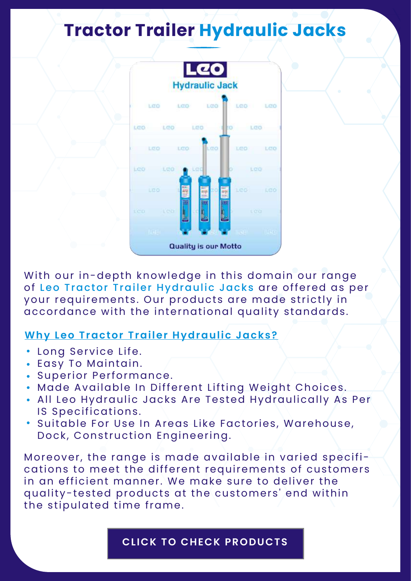# **Tractor Trailer Hydraulic Jacks**



With our in-depth knowledge in this domain our range of Leo Tractor Trailer Hydraulic Jacks are offered as per your requirements. Our products are made strictly in accordance with the international quality standards.

#### **Why Leo Tractor Trailer Hydraulic Jacks?**

- Long Service Life.
- Easy To Maintain.
- Superior Performance.
- Made Available In Different Lifting Weight Choices.
- All Leo Hydraulic Jacks Are Tested Hydraulically As Per IS Specifications.
- Suitable For Use In Areas Like Factories, Warehouse, Dock, Construction Engineering.

Moreover, the range is made available in varied specifications to meet the different requirements of customers in an efficient manner. We make sure to deliver the quality-tested products at the customers' end within the stipulated time frame.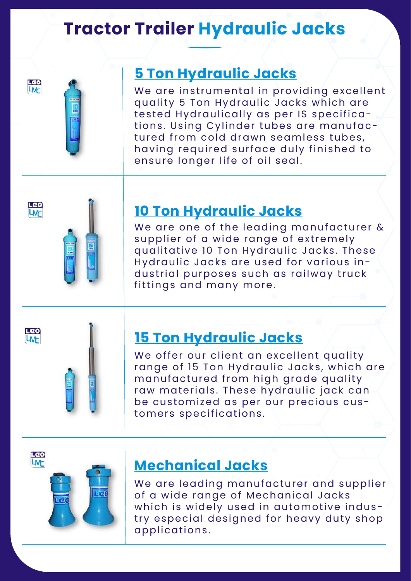## **Tractor Trailer Hydraulic Jacks**





## **5 Ton Hydraulic Jacks**

We are instrumental in providing excellent quality 5 Ton Hydraulic Jacks which are tested Hydraulically as per IS specifications. Using Cylinder tubes are manufactured from cold drawn seamless tubes, having required surface duly finished to ensure longer life of oil seal.



## **10 Ton Hydraulic Jacks**

We are one of the leading manufacturer & supplier of a wide range of extremely qualitative 10 Ton Hydraulic Jacks. These Hydraulic Jacks are used for various industrial purposes such as railway truck fittings and many more.





### **15 Ton Hydraulic Jacks**

We offer our client an excellent quality range of 15 Ton Hydraulic Jacks, which are manufactured from high grade quality raw materials. These hydraulic jack can be customized as per our precious customers specifications.



### **Mechanical Jacks**

We are leading manufacturer and supplier of a wide range of Mechanical Jacks which is widely used in automotive industry especial designed for heavy duty shop applications.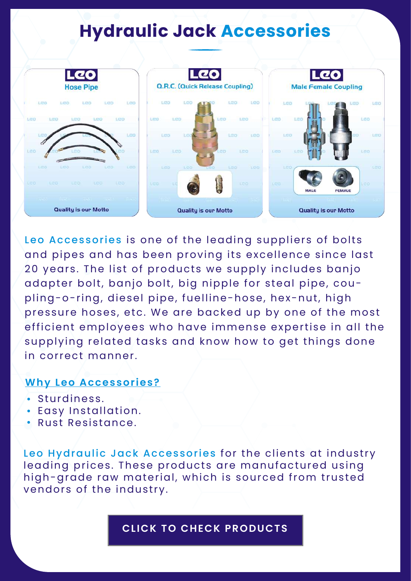## **Hydraulic Jack Accessories**



Leo Accessories is one of the leading suppliers of bolts and pipes and has been proving its excellence since last 20 years. The list of products we supply includes banjo adapter bolt, banjo bolt, big nipple for steal pipe, coupling-o-ring, diesel pipe, fuelline-hose, hex-nut, high pressure hoses, etc. We are backed up by one of the most efficient employees who have immense expertise in all the supplying related tasks and know how to get things done in correct manner.

#### **Why Leo Accessories?**

- Sturdiness.
- Easy Installation.
- Rust Resistance.

Leo Hydraulic Jack Accessories for the clients at industry leading prices. These products are manufactured using high-grade raw material, which is sourced from trusted vendors of the industry.

#### **[CLICK TO CHECK PRODUCTS](https://www.leomarketingco.com/our-products.html#Accessories)**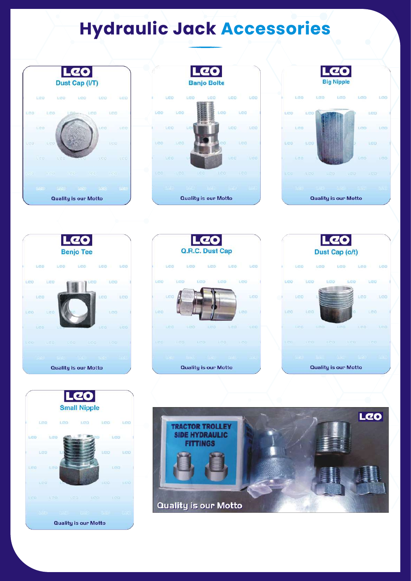# **Hydraulic Jack Accessories**